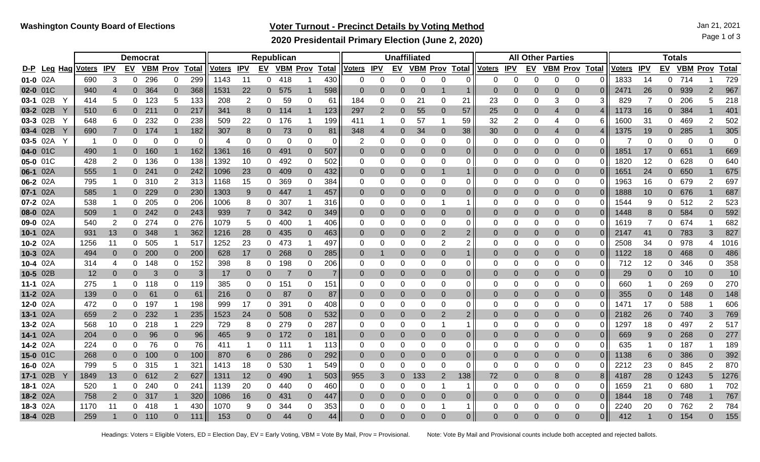## **Voter Turnout - Precinct Details by Voting Method** Jan 21, 2021

**2020 Presidentail Primary Election (June 2, 2020)**

|          |                |               |                |                | <b>Democrat</b> |                |                 | Republican    |            |          |          |                 |              |                | <b>Unaffiliated</b> |             |                       |                |                |               |             | <b>All Other Parties</b> |                  |                |              |               |            |                | <b>Totals</b>   |                |              |  |  |  |  |
|----------|----------------|---------------|----------------|----------------|-----------------|----------------|-----------------|---------------|------------|----------|----------|-----------------|--------------|----------------|---------------------|-------------|-----------------------|----------------|----------------|---------------|-------------|--------------------------|------------------|----------------|--------------|---------------|------------|----------------|-----------------|----------------|--------------|--|--|--|--|
| D-P      | <u>Leg Hag</u> | <u>/oters</u> | <b>IPV</b>     | EV             | <b>VBM Prov</b> |                | <b>Total</b>    | <u>Voters</u> | <b>IPV</b> | EV       |          | <b>VBM Prov</b> | <b>Total</b> | <u>Voters</u>  | <b>IPV</b>          | <u>EV</u>   | <b>VBM Prov Total</b> |                |                | <u>Voters</u> | <b>IPV</b>  | EV                       | <b>VBM Prov</b>  |                | <b>Total</b> | <u>Voters</u> | <b>IPV</b> | EV             | <b>VBM Prov</b> |                | <b>Total</b> |  |  |  |  |
| 01-0 02A |                | 690           | 3              | 0              | 296             | 0              | 299             | 1143          | 11         | 0        | 418      |                 | 430          | 0              | $\Omega$            | 0           | 0                     | $\Omega$       | 0              | 0             | $\mathbf 0$ | $\mathbf{0}$             | 0                | 0              |              | 1833          | 14         | 0              | 714             |                | 729          |  |  |  |  |
| 02-0 01C |                | 940           | 4              | $\overline{0}$ | 364             | $\overline{0}$ | 368             | 1531          | 22         | 0        | 575      | 1               | 598          | 0              |                     | 0           | $\Omega$              |                | 1              | $\Omega$      | $\Omega$    | $\overline{0}$           | $\Omega$         | $\Omega$       | 0            | 2471          | 26         | $\Omega$       | 939             | $\overline{2}$ | 967          |  |  |  |  |
|          | 03-1 02B       | 414           | 5              | 0              | 123             | 5              | 133             | 208           | 2          | 0        | 59       | 0               | 61           | 184            | $\Omega$            | 0           | 21                    | 0              | 21             | 23            | $\Omega$    | 0                        | 3                | 0              | 3            | 829           | 7          | 0              | 206             | 5              | 218          |  |  |  |  |
|          | 03-2 02B       | 510           | 6              | 0 <sup>1</sup> | 211             | $\overline{0}$ | 217             | 341           | 8          |          | $0$ 114  |                 | 123          | 297            | $\overline{2}$      | 0           | 55                    | 0              | 57             | 25            | $\mathbf 0$ | $\mathbf 0$              | $\overline{4}$   | $\overline{0}$ |              | 1173          | 16         | $\overline{0}$ | 384             |                | 401          |  |  |  |  |
|          | 03-3 02B       | 648           | 6              | 0              | 232             | 0              | 238             | 509           | 22         | 0        | 176      |                 | 199          | 411            |                     | 0           | 57                    |                | 59             | 32            | 2           | 0                        | 4                | 0              | 6            | 1600          | 31         | 0              | 469             | 2              | 502          |  |  |  |  |
|          | 03-4 02B       | 690           | $\overline{7}$ | $\overline{0}$ | 174             |                | 182             | 307           | 8          | 0        | 73       | $\mathbf 0$     | 81           | 348            | $\overline{4}$      | $\mathbf 0$ | 34                    | 0              | 38             | 30            | $\mathbf 0$ | $\mathbf 0$              | $\overline{4}$   | $\bf{0}$       | 4            | 1375          | 19         | 0              | 285             |                | 305          |  |  |  |  |
|          | 03-5 02A       |               | 0              | 0              | 0               | 0              | $\Omega$        | 4             | 0          | 0        | $\Omega$ | $\Omega$        | 0            | 2              | $\Omega$            | 0           | $\Omega$              | $\Omega$       | 0              | 0             | 0           | 0                        | 0                | 0              | 0            |               | 0          | 0              | $\Omega$        | $\Omega$       | $\Omega$     |  |  |  |  |
| 04-0 01C |                | 490           |                | $\overline{0}$ | 160             |                | 162             | 1361          | 16         | 0        | 491      | $\Omega$        | 507          | $\Omega$       | $\Omega$            | 0           | $\Omega$              | $\overline{0}$ | 0              | $\Omega$      | $\Omega$    | $\overline{0}$           | $\Omega$         | -0             | 0            | 1851          | 17         | $\Omega$       | 651             |                | 669          |  |  |  |  |
| 05-0 01C |                | 428           | 2              | 0              | 136             | 0              | 138             | 1392          | 10         | 0        | 492      | 0               | 502          | 0              | $\Omega$            | 0           | 0                     | $\Omega$       | 0              | 0             | $\Omega$    | 0                        | $\Omega$         | -0             | 0            | 1820          | 12         | 0              | 628             | 0              | 640          |  |  |  |  |
| 06-1 02A |                | 555           |                | $\overline{0}$ | 241             | $\overline{0}$ | 242             | 1096          | 23         | 0        | 409      | $\overline{0}$  | 432          | 0              | $\Omega$            | 0           |                       |                | 1              | 0             | 0           | $\overline{0}$           | $\Omega$         | $\Omega$       | 0            | 1651          | 24         | $\overline{0}$ | 650             |                | 675          |  |  |  |  |
| 06-2 02A |                | 795           |                | 0              | 310             | $\overline{2}$ | 313             | 1168          | 15         | 0        | 369      | 0               | 384          | $\Omega$       | $\Omega$            | 0           | $\Omega$              | 0              | 0              | $\Omega$      | $\Omega$    | $\mathbf{0}$             | $\Omega$         | 0              | 0            | 1963          | 16         | 0              | 679             | $\overline{2}$ | 697          |  |  |  |  |
| 07-1 02A |                | 585           |                | $\overline{0}$ | 229             | $\overline{0}$ | 230             | 1303          | 9          | 0        | -447     | 1               | 457          | $\overline{0}$ | $\Omega$            | 0           | $\Omega$              | 0              | 0              | $\Omega$      | $\Omega$    | $\overline{0}$           | $\Omega$         | 0              | 0            | 1888          | 10         | $\overline{0}$ | 676             |                | 687          |  |  |  |  |
| 07-2 02A |                | 538           |                | 0              | 205             | 0              | 206             | 1006          | 8          | 0        | 307      |                 | 316          | 0              | 0                   | 0           | $\Omega$              |                | -1             | 0             | ∩           | 0                        | 0                | 0              | 0            | 1544          | 9          | 0              | 512             | $\overline{2}$ | 523          |  |  |  |  |
| 08-0 02A |                | 509           |                | $\overline{0}$ | 242             | $\overline{0}$ | 243             | 939           |            | 0        | 342      | $\overline{0}$  | 349          | $\overline{0}$ | $\Omega$            | 0           | $\Omega$              | 0              | 0              | $\Omega$      | 0           | $\Omega$                 | $\Omega$         | $\Omega$       | 0            | 1448          | 8          | $\Omega$       | 584             | $\Omega$       | 592          |  |  |  |  |
| 09-0 02A |                | 540           | 2              | 0              | 274             | 0              | 276             | 1079          | 5          | 0        | 400      |                 | 406          | 0              | $\Omega$            | 0           | 0                     | 0              | 0              | 0             | 0           | 0                        | $\Omega$         | 0              | 0            | 1619          | 7          | 0              | 674             |                | 682          |  |  |  |  |
| 10-1 02A |                | 931           | 13             | $\overline{0}$ | 348             |                | 362             | 1216          | 28         | 0        | 435      | $\overline{0}$  | 463          | 0              | $\Omega$            | 0           | $\Omega$              | $\overline{2}$ | 2              | 0             | 0           | 0                        | $\overline{0}$   | 0              |              | 2147          | 41         | $\overline{0}$ | 783             | 3              | 827          |  |  |  |  |
| 10-2 02A |                | 1256          | 11             | 0              | 505             |                | 517             | 1252          | 23         | 0        | 473      |                 | 497          | 0              | $\Omega$            | 0           | $\Omega$              | $\overline{2}$ | 2              | 0             | 0           | 0                        | $\Omega$         | $\Omega$       |              | 2508          | 34         | 0              | 978             | 4              | 1016         |  |  |  |  |
| 10-3 02A |                | 494           | $\Omega$       | $\Omega$       | 200             | $\Omega$       | 200             | 628           | 17         | 0        | 268      | $\Omega$        | 285          | $\overline{0}$ |                     | 0           |                       | $\Omega$       |                | 0             | 0           | 0                        | 0                | $\Omega$       | 0            | 1122          | 18         | $\Omega$       | 468             | $\Omega$       | 486          |  |  |  |  |
|          | 10-4 $02A$     | 314           | 4              | 0              | 148             | 0              | 152             | 398           | 8          | 0        | 198      | 0               | 206          | 0              | 0                   | 0           | 0                     | $\Omega$       | 0              | 0             | ∩           | 0                        | ∩                | 0              | $\Omega$     | 712           | 12         | 0              | 346             | 0              | 358          |  |  |  |  |
| 10-5 02B |                | 12            | $\Omega$       | $\Omega$       | 3               | $\Omega$       | 3               | 17            |            | 0        |          | $\Omega$        | 7            | $\Omega$       | $\Omega$            | 0           |                       | 0              | 0              | $\Omega$      | 0           | 0                        | $\Omega$         | 0              | 0            | 29            | 0          | 0              | 10              | $\Omega$       | 10           |  |  |  |  |
| 11-1 02A |                | 275           |                | 0              | 118             | 0              | 119             | 385           | 0          | 0        | 151      | 0               | 151          | 0              | 0                   | 0           | $\Omega$              | 0              | 0              | 0             | $\Omega$    | 0                        | $\Omega$         | 0              | 0            | 660           |            | 0              | 269             | 0              | 270          |  |  |  |  |
| 11-2 02A |                | 139           | 0              | $\overline{0}$ | 61              | $\Omega$       | 61              | 216           | $\Omega$   | 0        | 87       | $\overline{0}$  | 87           | 0              | $\Omega$            | 0           |                       | 0              | 0              | $\Omega$      | $\Omega$    | $\overline{0}$           | $\Omega$         | 0              | 0            | 355           | 0          | $\Omega$       | 148             | $\Omega$       | 148          |  |  |  |  |
| 12-0 02A |                | 472           | 0              | 0              | 197             |                | 198             | 999           | 17         | 0        | 391      | 0               | 408          | $\Omega$       | 0                   | 0           | $\Omega$              | 0              | 0              | 0             | ∩           | 0                        | $\Omega$         | 0              | 0            | 1471          | 17         | 0              | 588             |                | 606          |  |  |  |  |
| 13-1 02A |                | 659           | 2              | $\overline{0}$ | 232             |                | 235             | 1523          | 24         | 0        | 508      | $\overline{0}$  | 532          | $\Omega$       | $\Omega$            | 0           | $\Omega$              | 2              | 2              | $\Omega$      | 0           | 0                        | $\overline{0}$   | 0              | 0            | 2182          | 26         | 0              | 740             | 3              | 769          |  |  |  |  |
| 13-2 02A |                | 568           | 10             | 0              | 218             |                | 229             | 729           | 8          | 0        | 279      | 0               | 287          | 0              | 0                   | 0           | 0                     |                | 1              | 0             | 0           | 0                        | 0                | 0              | 0            | 1297          | 18         | 0              | 497             | 2              | 517          |  |  |  |  |
| 14-1 02A |                | 204           | $\overline{0}$ | $\overline{0}$ | 96              | 0              | 96              | 465           | 9          | 0        | 172      | $\overline{0}$  | 181          | 0              | $\Omega$            | $\mathbf 0$ | $\Omega$              | 0              | 0              | 0             | $\Omega$    | $\overline{0}$           | $\boldsymbol{0}$ | 0              | 0            | 669           | 9          | 0              | 268             | $\Omega$       | 277          |  |  |  |  |
| 14-2 02A |                | 224           | 0              | 0              | 76              | 0              | 76              | 411           |            | 0        | 111      |                 | 113          | 0              | 0                   | 0           | 0                     | 0              | 0              | 0             | 0           | 0                        | 0                | 0              | 0            | 635           |            | 0              | 187             |                | 189          |  |  |  |  |
| 15-0 01C |                | 268           | $\Omega$       | $\overline{0}$ | 100             | $\overline{0}$ | 100             | 870           | 6          | 0        | 286      | $\Omega$        | 292          | 0              | 0                   | 0           | $\Omega$              | 0              | 0              | 0             | 0           | $\overline{0}$           | 0                | -0             | 0            | 1138          | 6          | $\Omega$       | 386             | $\Omega$       | 392          |  |  |  |  |
| 16-0 02A |                | 799           | 5              | 0              | 315             |                | 32 <sup>.</sup> | 1413          | 18         | 0        | 530      |                 | 549          | 0              | $\Omega$            | 0           | ∩                     | $\Omega$       | 0              | 0             | n           | 0                        | $\Omega$         | 0              |              | 2212          | 23         | 0              | 845             | 2              | 870          |  |  |  |  |
|          | 17-1 02B       | 1849          | 13             | $\overline{0}$ | 612             | 2              | 627             | 1311          | 12         | 0        | 490      |                 | 503          | 955            | 3                   | 0           | 133                   | 2              | 138            | 72            | 0           | $\overline{0}$           | 8                | $\Omega$       | 8            | 4187          | 28         |                | 0 1243          | 5              | 1276         |  |  |  |  |
| 18-1 02A |                | 520           |                | 0              | 240             | 0              | 241             | 1139          | 20         | 0        | 440      | 0               | 460          | 0              | $\Omega$            | 0           | 0                     |                | 1              | 0             | $\Omega$    | $\Omega$                 | $\Omega$         | -0             | 0            | 1659          | 21         | 0              | 680             |                | 702          |  |  |  |  |
| 18-2 02A |                | 758           | $\overline{2}$ | $\Omega$       | 317             |                | 320             | 1086          | 16         | 0        | -431     | $\overline{0}$  | 447          | 0              | $\Omega$            | 0           | $\Omega$              | $\Omega$       | $\overline{0}$ | $\Omega$      | $\Omega$    | $\overline{0}$           | $\Omega$         | $\Omega$       | 0            | 1844          | 18         | $\Omega$       | 748             |                | 767          |  |  |  |  |
| 18-3 02A |                | 1170          | 11             | 0              | 418             |                | 430             | 1070          | 9          | 0        | 344      | 0               | 353          | 0              | $\Omega$            | 0           | ∩                     |                |                | 0             | $\Omega$    | 0                        | $\Omega$         | 0              | 0            | 2240          | 20         | 0              | 762             | $\overline{2}$ | 784          |  |  |  |  |
| 18-4 02B |                | 259           |                | $\Omega$       | 110             |                | 11'             | 153           |            | $\Omega$ | 44       |                 | 44           | $\Omega$       |                     |             |                       | $\Omega$       | $\overline{0}$ | $\Omega$      |             | $\Omega$                 |                  |                | $\Omega$     | 412           |            | $\Omega$       | 154             | $\Omega$       | 155          |  |  |  |  |

Headings: Voters = Eligible Voters, ED = Election Day, EV = Early Voting, VBM = Vote By Mail, Prov = Provisional. Note: Vote By Mail and Provisional counts include both accepted and rejected ballots.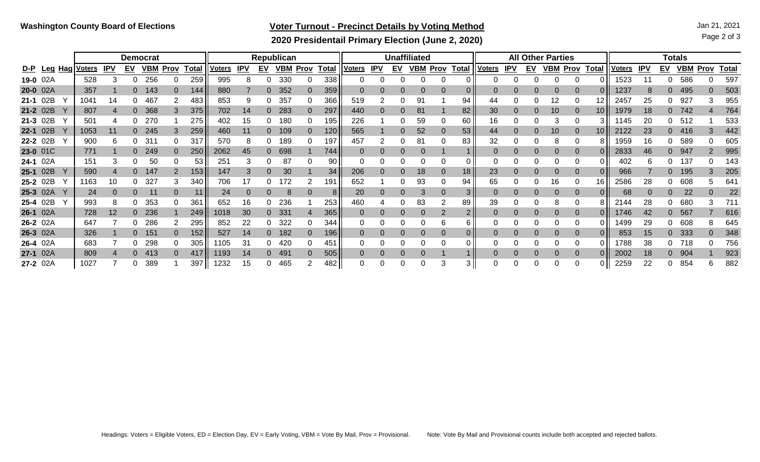## **Voter Turnout - Precinct Details by Voting Method** Jan 21, 2021

Page 2 of 3

**2020 Presidentail Primary Election (June 2, 2020)**

|          |             |               |            | <b>Democrat</b> |            |          |              |                 |            |           | Republican      |             |              |               |            | <b>Unaffiliated</b> |            |             |                 |               |            |           | <b>All Other Parties</b> |             |              | <b>Totals</b> |            |           |            |               |              |  |
|----------|-------------|---------------|------------|-----------------|------------|----------|--------------|-----------------|------------|-----------|-----------------|-------------|--------------|---------------|------------|---------------------|------------|-------------|-----------------|---------------|------------|-----------|--------------------------|-------------|--------------|---------------|------------|-----------|------------|---------------|--------------|--|
|          | D-P Leg Hag | <b>Voters</b> | <u>IPV</u> | <u>EV</u>       | <u>VBM</u> | Prov     | <b>Total</b> | <b>Voters</b>   | <b>IPV</b> | <u>EV</u> | <u>VBM</u>      | <b>Prov</b> | <b>Total</b> | <u>Voters</u> | <b>IPV</b> | <u>EV</u>           | <u>VBM</u> | <b>Prov</b> | <b>Total</b>    | <u>Voters</u> | <u>IPV</u> | <u>EV</u> | <u>VBM</u>               | <b>Prov</b> | <b>Total</b> | <u>Voters</u> | <u>IPV</u> | <u>EV</u> | <b>VBM</b> | . <u>Prov</u> | <b>Total</b> |  |
| 19-0 02A |             | 528           |            |                 | 256        |          | 259          | 995             |            |           | 330             |             | 338          |               |            |                     |            |             |                 |               |            |           |                          |             |              | 1523          |            |           | 586        |               | 597          |  |
| 20-0 02A |             | 357           |            |                 | 143        | $\Omega$ | 144          | 880             |            |           | 352             |             | 359          |               |            |                     |            |             |                 |               |            | $\Omega$  |                          |             |              | 1237          |            |           | 495        |               | 503          |  |
| 21-1 02B |             | $104^{\circ}$ | 14         |                 | 467        |          | 483          | 853             |            |           | 357             |             | 366          | 519           |            |                     | 91         |             | 94              | 44            |            | 0         | 12                       |             | 12.          | 2457          | 25         | 0         | 927        |               | 955          |  |
| 21-2 02B |             | 807           |            |                 | 368        | 3        | 375          | 702             | 14         |           | 283             | 0.          | 297          | 440           |            |                     | 81         |             | 82              | 30            |            | $\Omega$  | 10                       |             | 10           | 1979          | 18         | 0         | 742        |               | 764          |  |
| 21-3 02B |             | 501           |            |                 | 270        |          | 275          | 402             | 15         |           | 180             |             | 195          | 226           |            |                     | 59         |             | 60              | 16            |            |           |                          |             |              | 1145          | 20         | 0         | -512       |               | 533          |  |
| 22-1 02B |             | 1053          | 11         |                 | 245        |          | 259          | 460             |            |           | 109             |             | 120          | 565           |            |                     | 52         |             | 53              | 44            |            | $\Omega$  | 10                       |             | 10.          | 2122          | 23         | 0         | 416        |               | 442          |  |
| 22-2 02B |             | 900           |            |                 | -31        |          | 317          | 570             |            |           | 189             |             | 197          | 457           | 2          |                     | 81         |             | 83              | 32            |            | 0         | 8                        |             |              | 1959          | 16         |           | 589        |               | 605          |  |
| 23-0 01C |             | 771           |            |                 | 249        | $\Omega$ | 250          | 2062            | 45         |           | 698             |             | 744          |               |            |                     |            |             |                 | $\Omega$      |            | $\Omega$  |                          |             |              | 2833          | 46         | 0         | 947        |               | 995          |  |
| 24-1 02A |             | 151           |            |                 | 50         |          | 53           | 25 <sup>′</sup> |            |           | 87              |             | 90           |               |            |                     |            |             |                 |               |            | 0         |                          |             |              | 402           |            |           | 137        |               | 143          |  |
| 25-1 02B |             | 590           |            |                 | 147        |          | 153          | 147             |            |           | 30              |             | 34           | 206           |            |                     | 18         |             | 18 <sup>1</sup> | 23            |            | $\Omega$  |                          |             |              | 966           |            | 0         | 195        |               | 205          |  |
| 25-2 02B |             | 163           | 10         |                 | 327        |          | 340          | 706             |            |           | 172             |             | 191          | 652           |            |                     | 93         |             | 94              | 65            |            | 0         | 16                       |             | 16           | 2586          | 28         | 0         | 608        |               | 641          |  |
| 25-3 02A |             | 24            |            |                 | 11         | $\Omega$ | 11           | 24              |            |           |                 | 0           | 8            | 20            |            |                     |            |             | 3 I             | $\Omega$      |            | $\Omega$  |                          | $\Omega$    |              | 68            |            | 0         | 22         |               | 22           |  |
| 25-4 02B |             | 993           | 8          |                 | 353        |          | 361          | 652             | 16         |           | 236             |             | 253          | 460           |            |                     | 83         |             | 89              | 39            |            | 0         | 8                        | 0           |              | 2144          | 28         | O         | 680        |               | 711          |  |
| 26-1 02A |             | 728           | 12         |                 | 236        |          | 249          | 1018            | 30         |           | 33 <sup>′</sup> |             | 365          |               |            |                     |            |             |                 | $\Omega$      |            | $\Omega$  |                          |             |              | 1746          | 42         |           | 567        |               | 616          |  |
| 26-2 02A |             | 647           |            |                 | 286        |          | 295          | 852             | 22         |           | 322             |             | 344          |               |            |                     |            |             |                 |               |            | 0         |                          |             |              | 1499          | 29         | 0         | 608        |               | 645          |  |
| 26-3 02A |             | 326           |            |                 | 151        | $\Omega$ | 152          | 527             | 14         |           | 182             |             | 196          |               |            |                     |            |             | 0 I             | $\Omega$      |            | $\Omega$  |                          | $\Omega$    |              | 853           | 15         | 0         | 333        |               | 348          |  |
| 26-4 02A |             | 683           |            |                 | 298        | 0        | 305          | 105             | 31         |           | 420             |             | 451          |               |            |                     |            |             |                 |               |            | 0         |                          |             |              | 1788          | 38         | 0         | 718        |               | 756          |  |
| 27-1 02A |             | 809           |            |                 | 413        | 0        | 417          | 1193            | 14         |           | 491             |             | 505          |               |            |                     |            |             |                 |               |            | $\Omega$  |                          |             |              | 2002          | 18         |           | 904        |               | 923          |  |
| 27-2 02A |             | 1027          |            |                 | 389        |          | 397 II       | 1232            |            |           | 465             |             | 482          |               |            |                     |            |             |                 |               |            |           |                          |             |              | 2259          | 22         |           | 854        |               | 882          |  |